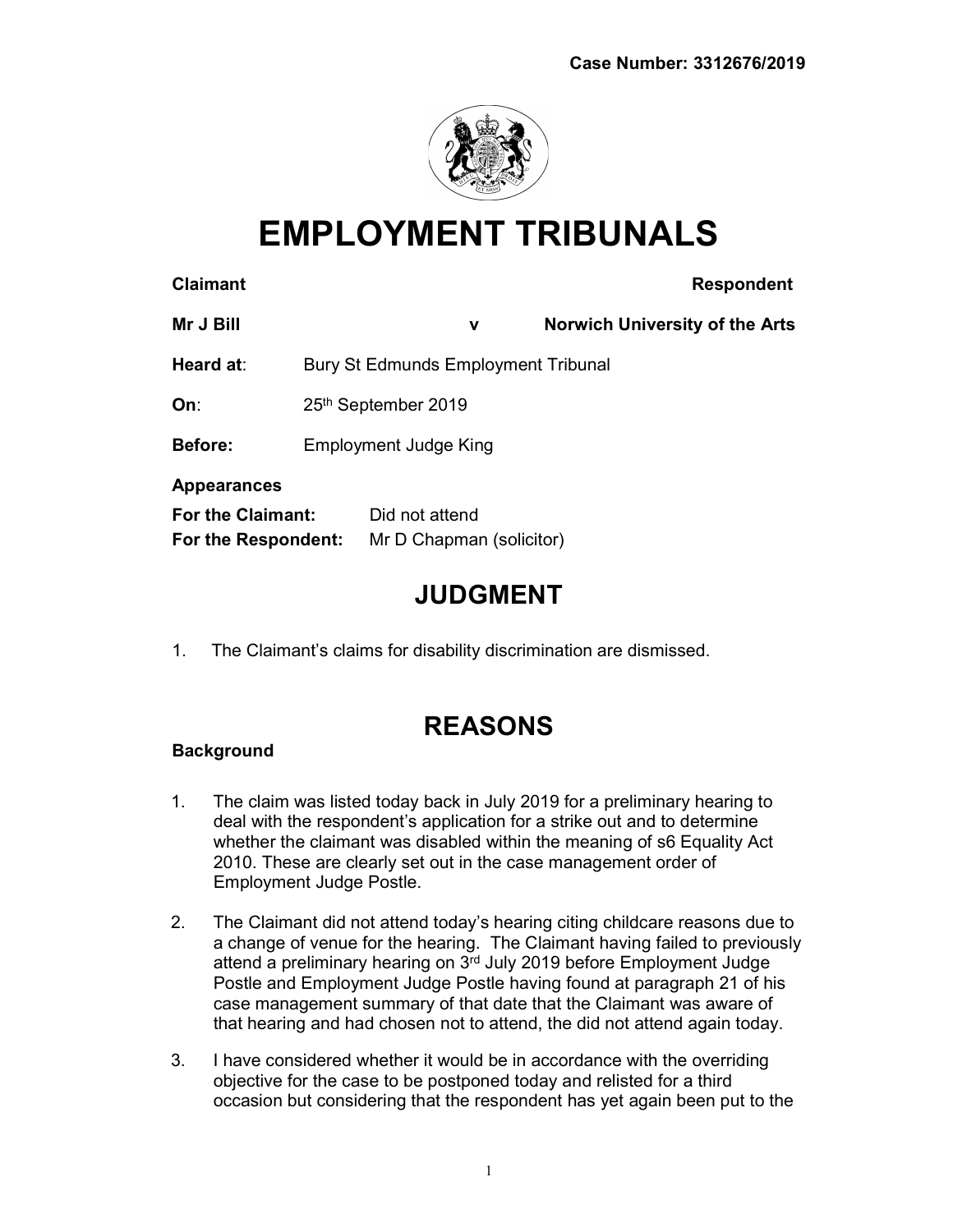

# EMPLOYMENT TRIBUNALS

| <b>Claimant</b>                          |                                            |                                            | <b>Respondent</b>                     |
|------------------------------------------|--------------------------------------------|--------------------------------------------|---------------------------------------|
| Mr J Bill                                |                                            | v                                          | <b>Norwich University of the Arts</b> |
| Heard at:                                | <b>Bury St Edmunds Employment Tribunal</b> |                                            |                                       |
| On∶                                      |                                            | 25th September 2019                        |                                       |
| <b>Before:</b>                           | <b>Employment Judge King</b>               |                                            |                                       |
| <b>Appearances</b>                       |                                            |                                            |                                       |
| For the Claimant:<br>For the Respondent: |                                            | Did not attend<br>Mr D Chapman (solicitor) |                                       |

### JUDGMENT

1. The Claimant's claims for disability discrimination are dismissed.

## REASONS

### **Background**

- 1. The claim was listed today back in July 2019 for a preliminary hearing to deal with the respondent's application for a strike out and to determine whether the claimant was disabled within the meaning of s6 Equality Act 2010. These are clearly set out in the case management order of Employment Judge Postle.
- 2. The Claimant did not attend today's hearing citing childcare reasons due to a change of venue for the hearing. The Claimant having failed to previously attend a preliminary hearing on 3<sup>rd</sup> July 2019 before Employment Judge Postle and Employment Judge Postle having found at paragraph 21 of his case management summary of that date that the Claimant was aware of that hearing and had chosen not to attend, the did not attend again today.
- 3. I have considered whether it would be in accordance with the overriding objective for the case to be postponed today and relisted for a third occasion but considering that the respondent has yet again been put to the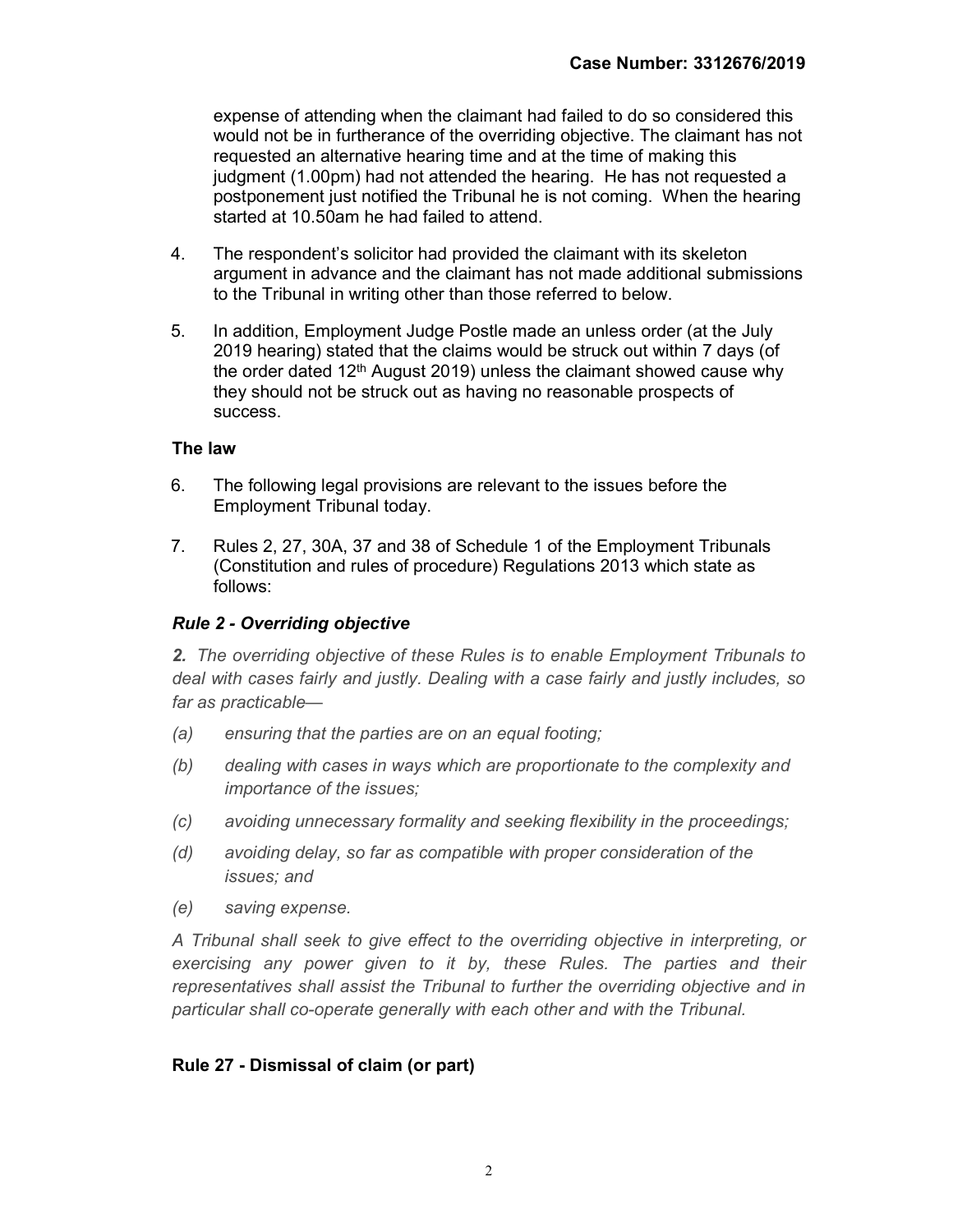expense of attending when the claimant had failed to do so considered this would not be in furtherance of the overriding objective. The claimant has not requested an alternative hearing time and at the time of making this judgment (1.00pm) had not attended the hearing. He has not requested a postponement just notified the Tribunal he is not coming. When the hearing started at 10.50am he had failed to attend.

- 4. The respondent's solicitor had provided the claimant with its skeleton argument in advance and the claimant has not made additional submissions to the Tribunal in writing other than those referred to below.
- 5. In addition, Employment Judge Postle made an unless order (at the July 2019 hearing) stated that the claims would be struck out within 7 days (of the order dated 12<sup>th</sup> August 2019) unless the claimant showed cause why they should not be struck out as having no reasonable prospects of success.

#### The law

- 6. The following legal provisions are relevant to the issues before the Employment Tribunal today.
- 7. Rules 2, 27, 30A, 37 and 38 of Schedule 1 of the Employment Tribunals (Constitution and rules of procedure) Regulations 2013 which state as follows:

#### Rule 2 - Overriding objective

2. The overriding objective of these Rules is to enable Employment Tribunals to deal with cases fairly and justly. Dealing with a case fairly and justly includes, so far as practicable—

- (a) ensuring that the parties are on an equal footing;
- (b) dealing with cases in ways which are proportionate to the complexity and importance of the issues;
- (c) avoiding unnecessary formality and seeking flexibility in the proceedings;
- (d) avoiding delay, so far as compatible with proper consideration of the issues; and
- (e) saving expense.

A Tribunal shall seek to give effect to the overriding objective in interpreting, or exercising any power given to it by, these Rules. The parties and their representatives shall assist the Tribunal to further the overriding objective and in particular shall co-operate generally with each other and with the Tribunal.

#### Rule 27 - Dismissal of claim (or part)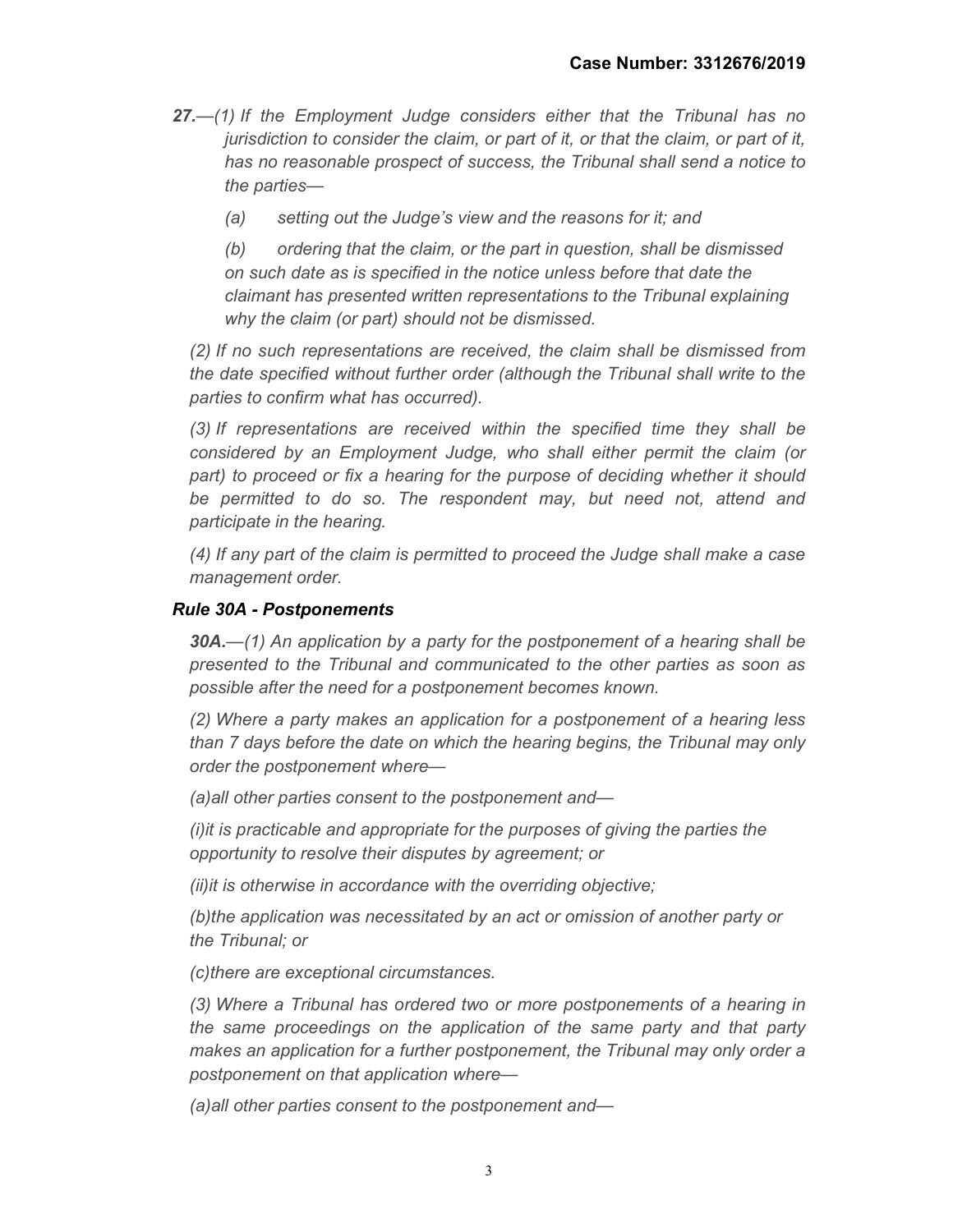- 27.—(1) If the Employment Judge considers either that the Tribunal has no jurisdiction to consider the claim, or part of it, or that the claim, or part of it, has no reasonable prospect of success, the Tribunal shall send a notice to the parties—
	- (a) setting out the Judge's view and the reasons for it; and

(b) ordering that the claim, or the part in question, shall be dismissed on such date as is specified in the notice unless before that date the claimant has presented written representations to the Tribunal explaining why the claim (or part) should not be dismissed.

(2) If no such representations are received, the claim shall be dismissed from the date specified without further order (although the Tribunal shall write to the parties to confirm what has occurred).

(3) If representations are received within the specified time they shall be considered by an Employment Judge, who shall either permit the claim (or part) to proceed or fix a hearing for the purpose of deciding whether it should be permitted to do so. The respondent may, but need not, attend and participate in the hearing.

(4) If any part of the claim is permitted to proceed the Judge shall make a case management order.

#### Rule 30A - Postponements

 $30A$ .—(1) An application by a party for the postponement of a hearing shall be presented to the Tribunal and communicated to the other parties as soon as possible after the need for a postponement becomes known.

(2) Where a party makes an application for a postponement of a hearing less than 7 days before the date on which the hearing begins, the Tribunal may only order the postponement where—

(a)all other parties consent to the postponement and—

(i)it is practicable and appropriate for the purposes of giving the parties the opportunity to resolve their disputes by agreement; or

(ii)it is otherwise in accordance with the overriding objective;

(b)the application was necessitated by an act or omission of another party or the Tribunal; or

(c)there are exceptional circumstances.

(3) Where a Tribunal has ordered two or more postponements of a hearing in the same proceedings on the application of the same party and that party makes an application for a further postponement, the Tribunal may only order a postponement on that application where—

(a)all other parties consent to the postponement and—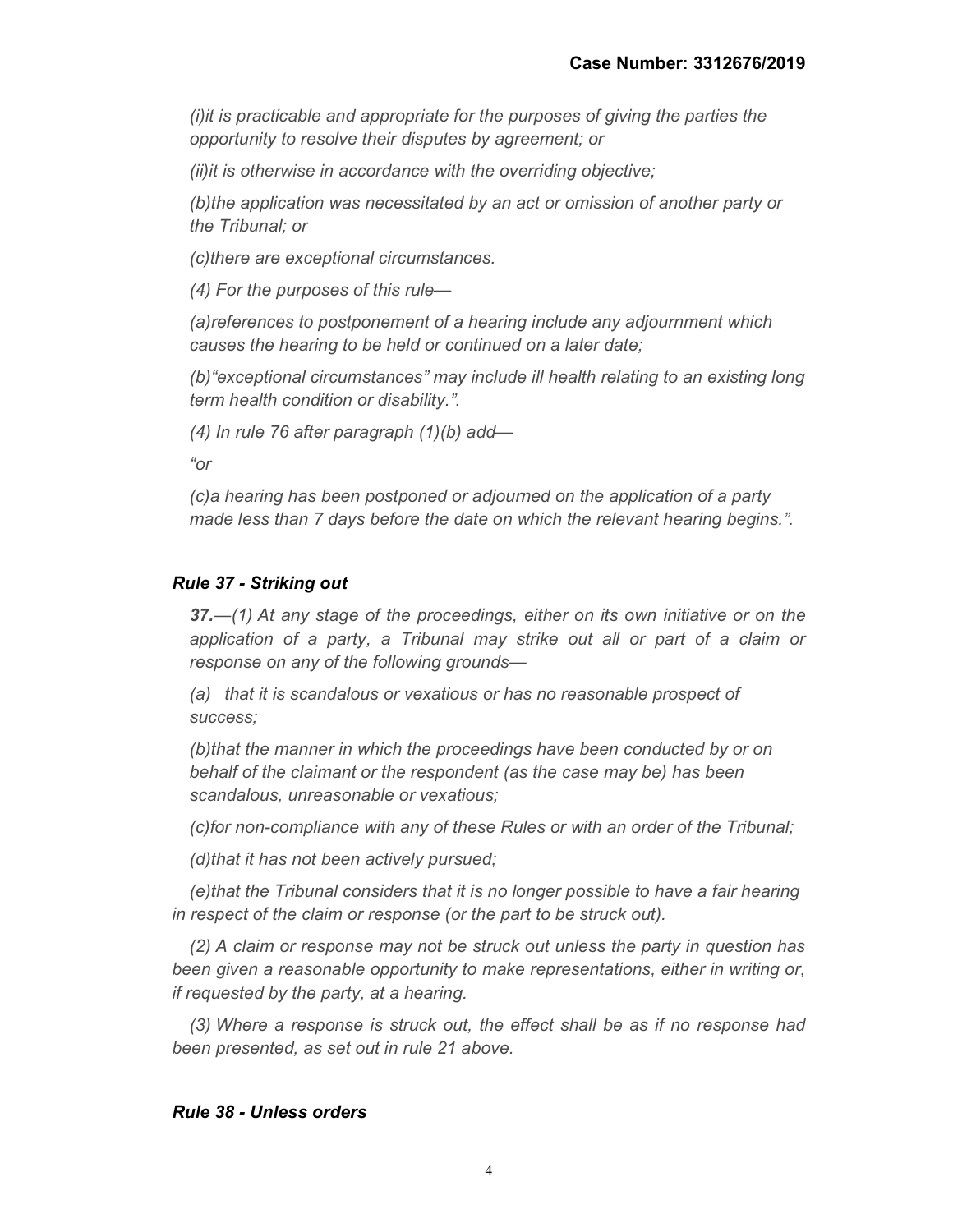(i)it is practicable and appropriate for the purposes of giving the parties the opportunity to resolve their disputes by agreement; or

(ii)it is otherwise in accordance with the overriding objective;

(b)the application was necessitated by an act or omission of another party or the Tribunal; or

(c)there are exceptional circumstances.

(4) For the purposes of this rule—

(a)references to postponement of a hearing include any adjournment which causes the hearing to be held or continued on a later date;

(b)"exceptional circumstances" may include ill health relating to an existing long term health condition or disability.".

(4) In rule 76 after paragraph (1)(b) add—

"or

(c)a hearing has been postponed or adjourned on the application of a party made less than 7 days before the date on which the relevant hearing begins.".

#### Rule 37 - Striking out

37.—(1) At any stage of the proceedings, either on its own initiative or on the application of a party, a Tribunal may strike out all or part of a claim or response on any of the following grounds—

(a) that it is scandalous or vexatious or has no reasonable prospect of success;

(b)that the manner in which the proceedings have been conducted by or on behalf of the claimant or the respondent (as the case may be) has been scandalous, unreasonable or vexatious;

(c)for non-compliance with any of these Rules or with an order of the Tribunal;

(d)that it has not been actively pursued;

(e)that the Tribunal considers that it is no longer possible to have a fair hearing in respect of the claim or response (or the part to be struck out).

(2) A claim or response may not be struck out unless the party in question has been given a reasonable opportunity to make representations, either in writing or, if requested by the party, at a hearing.

(3) Where a response is struck out, the effect shall be as if no response had been presented, as set out in rule 21 above.

#### Rule 38 - Unless orders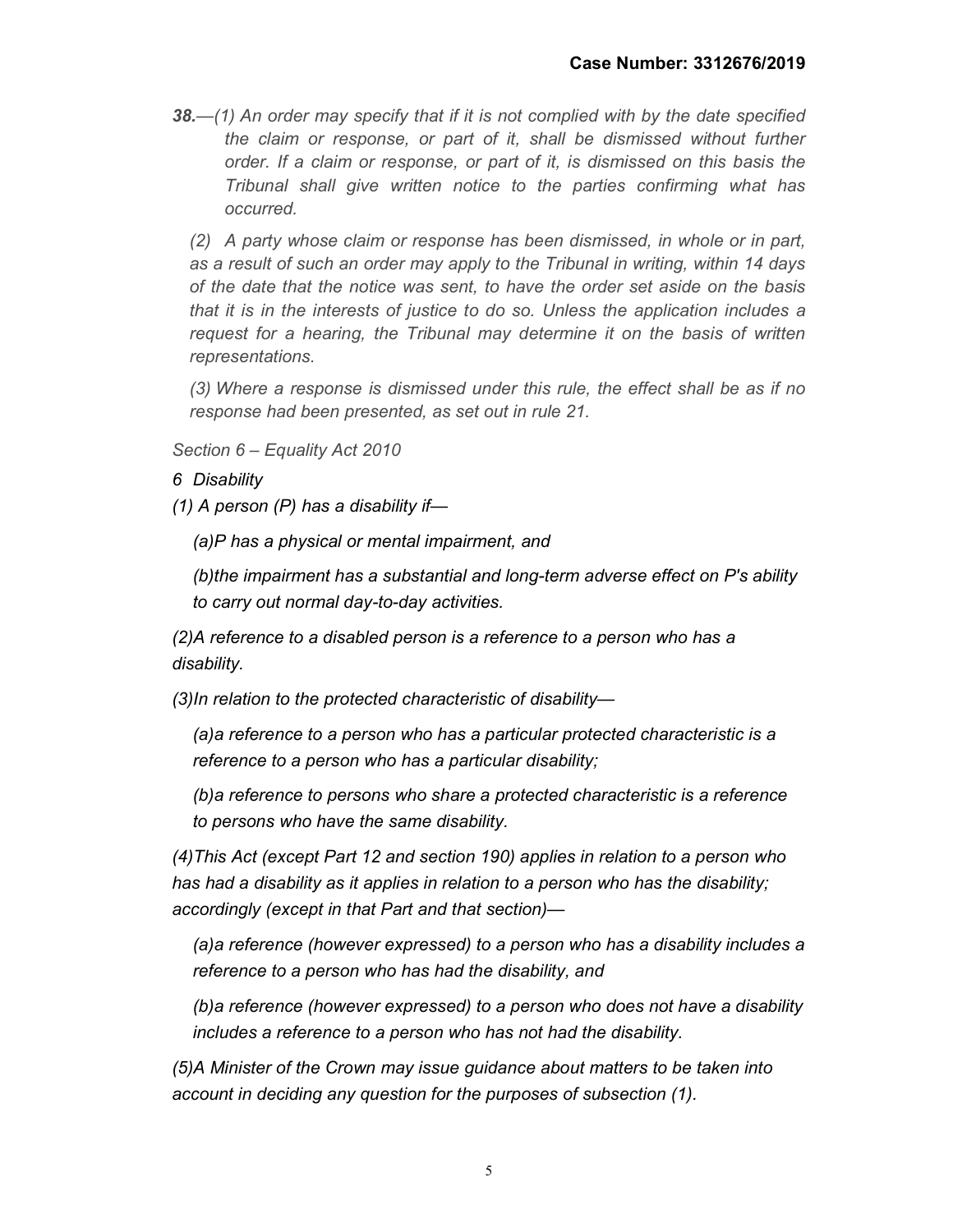38.—(1) An order may specify that if it is not complied with by the date specified the claim or response, or part of it, shall be dismissed without further order. If a claim or response, or part of it, is dismissed on this basis the Tribunal shall give written notice to the parties confirming what has occurred.

(2) A party whose claim or response has been dismissed, in whole or in part, as a result of such an order may apply to the Tribunal in writing, within 14 days of the date that the notice was sent, to have the order set aside on the basis that it is in the interests of justice to do so. Unless the application includes a request for a hearing, the Tribunal may determine it on the basis of written representations.

(3) Where a response is dismissed under this rule, the effect shall be as if no response had been presented, as set out in rule 21.

Section 6 – Equality Act 2010

6 Disability

(1) A person  $(P)$  has a disability if-

(a)P has a physical or mental impairment, and

(b)the impairment has a substantial and long-term adverse effect on P's ability to carry out normal day-to-day activities.

(2)A reference to a disabled person is a reference to a person who has a disability.

(3)In relation to the protected characteristic of disability—

(a)a reference to a person who has a particular protected characteristic is a reference to a person who has a particular disability;

(b)a reference to persons who share a protected characteristic is a reference to persons who have the same disability.

(4)This Act (except Part 12 and section 190) applies in relation to a person who has had a disability as it applies in relation to a person who has the disability; accordingly (except in that Part and that section)—

(a)a reference (however expressed) to a person who has a disability includes a reference to a person who has had the disability, and

(b)a reference (however expressed) to a person who does not have a disability includes a reference to a person who has not had the disability.

(5)A Minister of the Crown may issue guidance about matters to be taken into account in deciding any question for the purposes of subsection (1).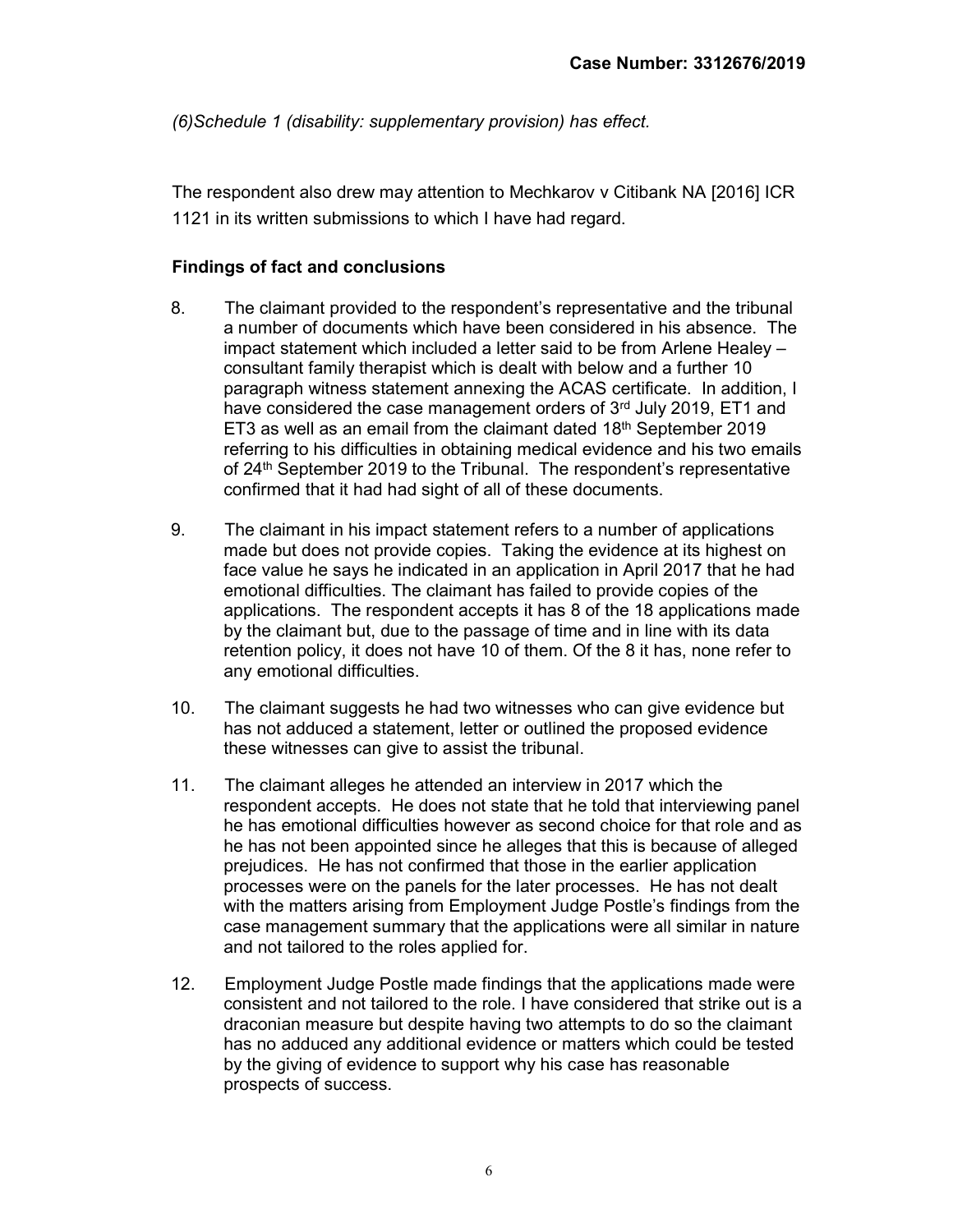(6)Schedule 1 (disability: supplementary provision) has effect.

The respondent also drew may attention to Mechkarov v Citibank NA [2016] ICR 1121 in its written submissions to which I have had regard.

#### Findings of fact and conclusions

- 8. The claimant provided to the respondent's representative and the tribunal a number of documents which have been considered in his absence. The impact statement which included a letter said to be from Arlene Healey – consultant family therapist which is dealt with below and a further 10 paragraph witness statement annexing the ACAS certificate. In addition, I have considered the case management orders of 3rd July 2019, ET1 and ET3 as well as an email from the claimant dated 18th September 2019 referring to his difficulties in obtaining medical evidence and his two emails of 24<sup>th</sup> September 2019 to the Tribunal. The respondent's representative confirmed that it had had sight of all of these documents.
- 9. The claimant in his impact statement refers to a number of applications made but does not provide copies. Taking the evidence at its highest on face value he says he indicated in an application in April 2017 that he had emotional difficulties. The claimant has failed to provide copies of the applications. The respondent accepts it has 8 of the 18 applications made by the claimant but, due to the passage of time and in line with its data retention policy, it does not have 10 of them. Of the 8 it has, none refer to any emotional difficulties.
- 10. The claimant suggests he had two witnesses who can give evidence but has not adduced a statement, letter or outlined the proposed evidence these witnesses can give to assist the tribunal.
- 11. The claimant alleges he attended an interview in 2017 which the respondent accepts. He does not state that he told that interviewing panel he has emotional difficulties however as second choice for that role and as he has not been appointed since he alleges that this is because of alleged prejudices. He has not confirmed that those in the earlier application processes were on the panels for the later processes. He has not dealt with the matters arising from Employment Judge Postle's findings from the case management summary that the applications were all similar in nature and not tailored to the roles applied for.
- 12. Employment Judge Postle made findings that the applications made were consistent and not tailored to the role. I have considered that strike out is a draconian measure but despite having two attempts to do so the claimant has no adduced any additional evidence or matters which could be tested by the giving of evidence to support why his case has reasonable prospects of success.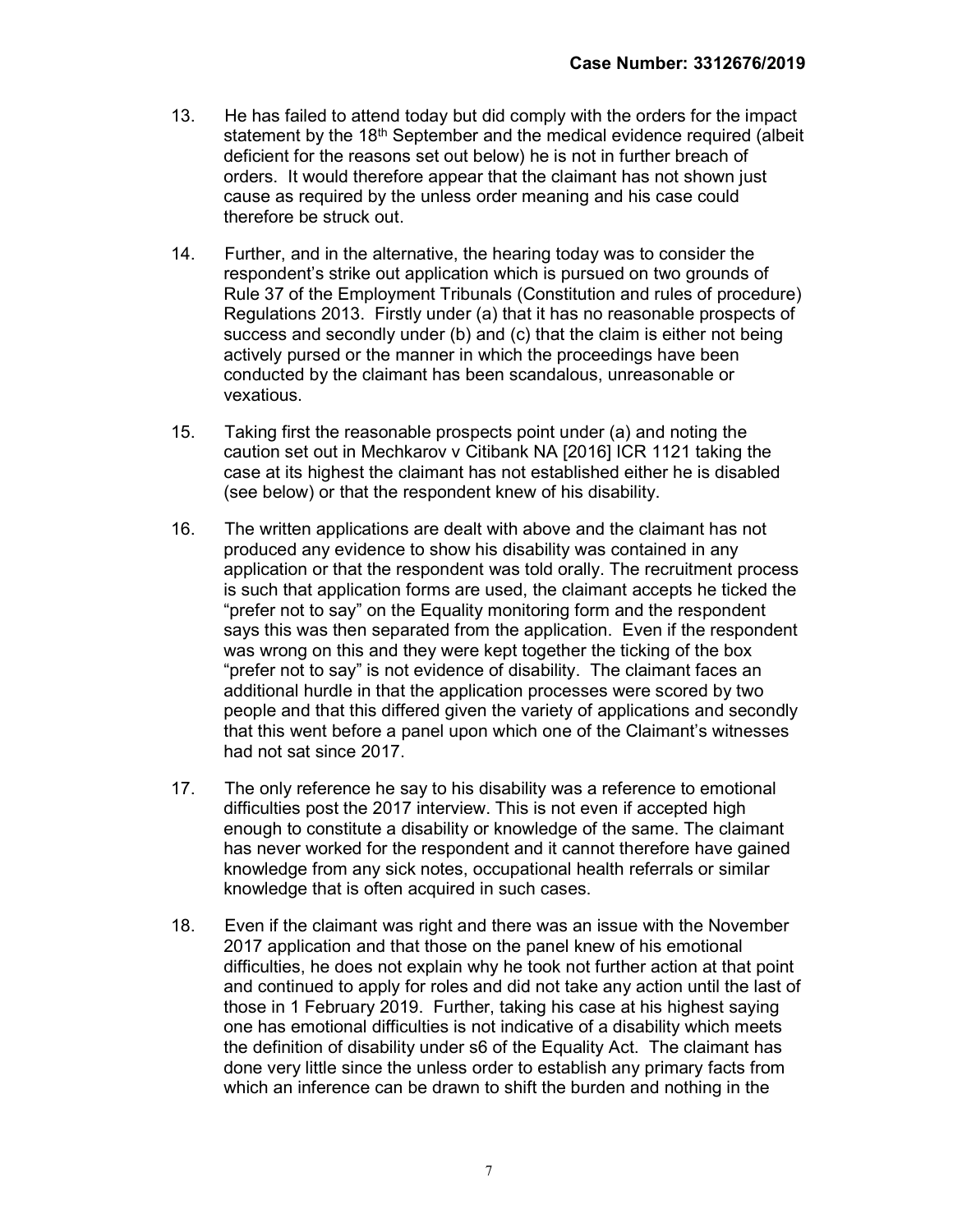- 13. He has failed to attend today but did comply with the orders for the impact statement by the 18th September and the medical evidence required (albeit deficient for the reasons set out below) he is not in further breach of orders. It would therefore appear that the claimant has not shown just cause as required by the unless order meaning and his case could therefore be struck out.
- 14. Further, and in the alternative, the hearing today was to consider the respondent's strike out application which is pursued on two grounds of Rule 37 of the Employment Tribunals (Constitution and rules of procedure) Regulations 2013. Firstly under (a) that it has no reasonable prospects of success and secondly under (b) and (c) that the claim is either not being actively pursed or the manner in which the proceedings have been conducted by the claimant has been scandalous, unreasonable or vexatious.
- 15. Taking first the reasonable prospects point under (a) and noting the caution set out in Mechkarov v Citibank NA [2016] ICR 1121 taking the case at its highest the claimant has not established either he is disabled (see below) or that the respondent knew of his disability.
- 16. The written applications are dealt with above and the claimant has not produced any evidence to show his disability was contained in any application or that the respondent was told orally. The recruitment process is such that application forms are used, the claimant accepts he ticked the "prefer not to say" on the Equality monitoring form and the respondent says this was then separated from the application. Even if the respondent was wrong on this and they were kept together the ticking of the box "prefer not to say" is not evidence of disability. The claimant faces an additional hurdle in that the application processes were scored by two people and that this differed given the variety of applications and secondly that this went before a panel upon which one of the Claimant's witnesses had not sat since 2017.
- 17. The only reference he say to his disability was a reference to emotional difficulties post the 2017 interview. This is not even if accepted high enough to constitute a disability or knowledge of the same. The claimant has never worked for the respondent and it cannot therefore have gained knowledge from any sick notes, occupational health referrals or similar knowledge that is often acquired in such cases.
- 18. Even if the claimant was right and there was an issue with the November 2017 application and that those on the panel knew of his emotional difficulties, he does not explain why he took not further action at that point and continued to apply for roles and did not take any action until the last of those in 1 February 2019. Further, taking his case at his highest saying one has emotional difficulties is not indicative of a disability which meets the definition of disability under s6 of the Equality Act. The claimant has done very little since the unless order to establish any primary facts from which an inference can be drawn to shift the burden and nothing in the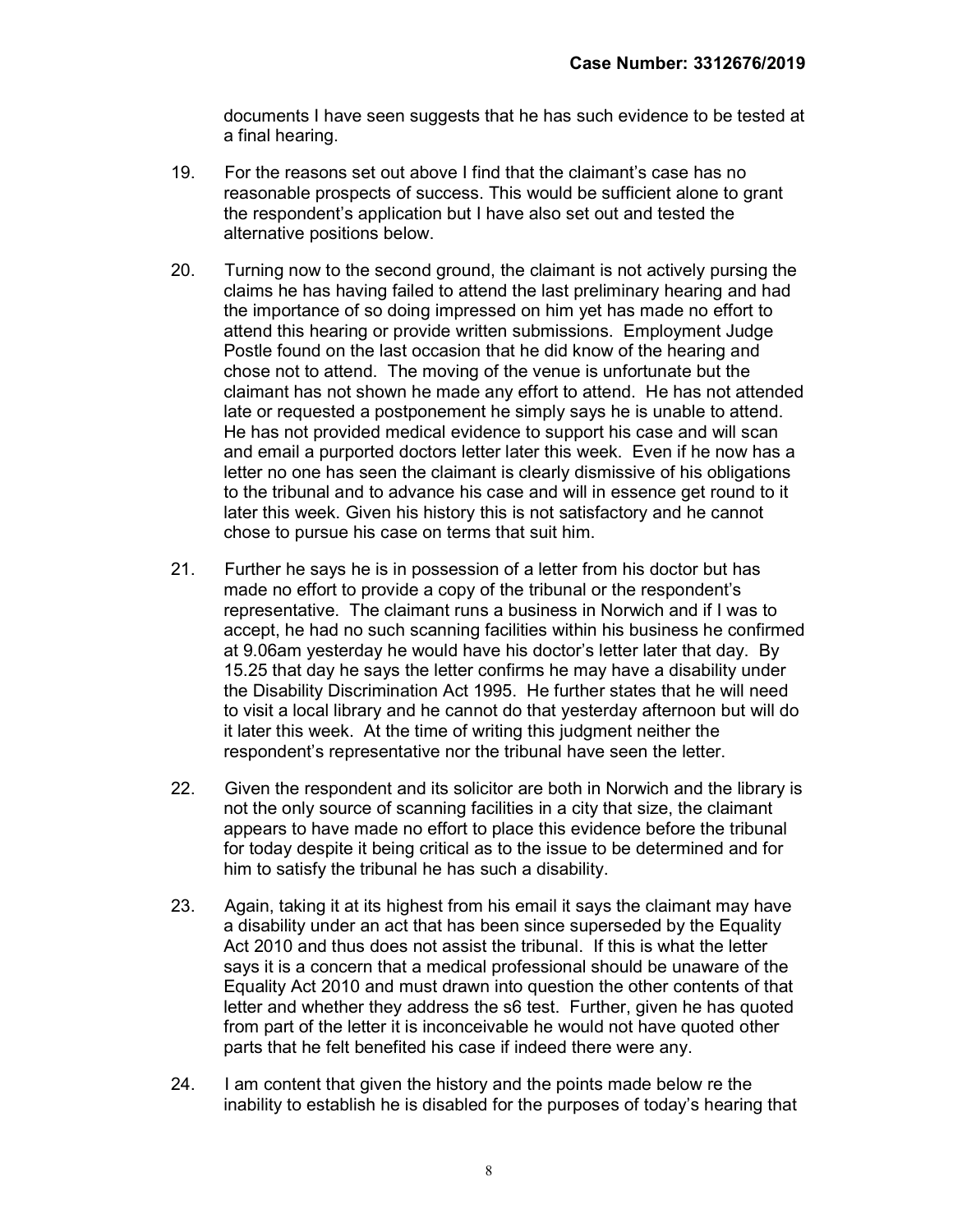documents I have seen suggests that he has such evidence to be tested at a final hearing.

- 19. For the reasons set out above I find that the claimant's case has no reasonable prospects of success. This would be sufficient alone to grant the respondent's application but I have also set out and tested the alternative positions below.
- 20. Turning now to the second ground, the claimant is not actively pursing the claims he has having failed to attend the last preliminary hearing and had the importance of so doing impressed on him yet has made no effort to attend this hearing or provide written submissions. Employment Judge Postle found on the last occasion that he did know of the hearing and chose not to attend. The moving of the venue is unfortunate but the claimant has not shown he made any effort to attend. He has not attended late or requested a postponement he simply says he is unable to attend. He has not provided medical evidence to support his case and will scan and email a purported doctors letter later this week. Even if he now has a letter no one has seen the claimant is clearly dismissive of his obligations to the tribunal and to advance his case and will in essence get round to it later this week. Given his history this is not satisfactory and he cannot chose to pursue his case on terms that suit him.
- 21. Further he says he is in possession of a letter from his doctor but has made no effort to provide a copy of the tribunal or the respondent's representative. The claimant runs a business in Norwich and if I was to accept, he had no such scanning facilities within his business he confirmed at 9.06am yesterday he would have his doctor's letter later that day. By 15.25 that day he says the letter confirms he may have a disability under the Disability Discrimination Act 1995. He further states that he will need to visit a local library and he cannot do that yesterday afternoon but will do it later this week. At the time of writing this judgment neither the respondent's representative nor the tribunal have seen the letter.
- 22. Given the respondent and its solicitor are both in Norwich and the library is not the only source of scanning facilities in a city that size, the claimant appears to have made no effort to place this evidence before the tribunal for today despite it being critical as to the issue to be determined and for him to satisfy the tribunal he has such a disability.
- 23. Again, taking it at its highest from his email it says the claimant may have a disability under an act that has been since superseded by the Equality Act 2010 and thus does not assist the tribunal. If this is what the letter says it is a concern that a medical professional should be unaware of the Equality Act 2010 and must drawn into question the other contents of that letter and whether they address the s6 test. Further, given he has quoted from part of the letter it is inconceivable he would not have quoted other parts that he felt benefited his case if indeed there were any.
- 24. I am content that given the history and the points made below re the inability to establish he is disabled for the purposes of today's hearing that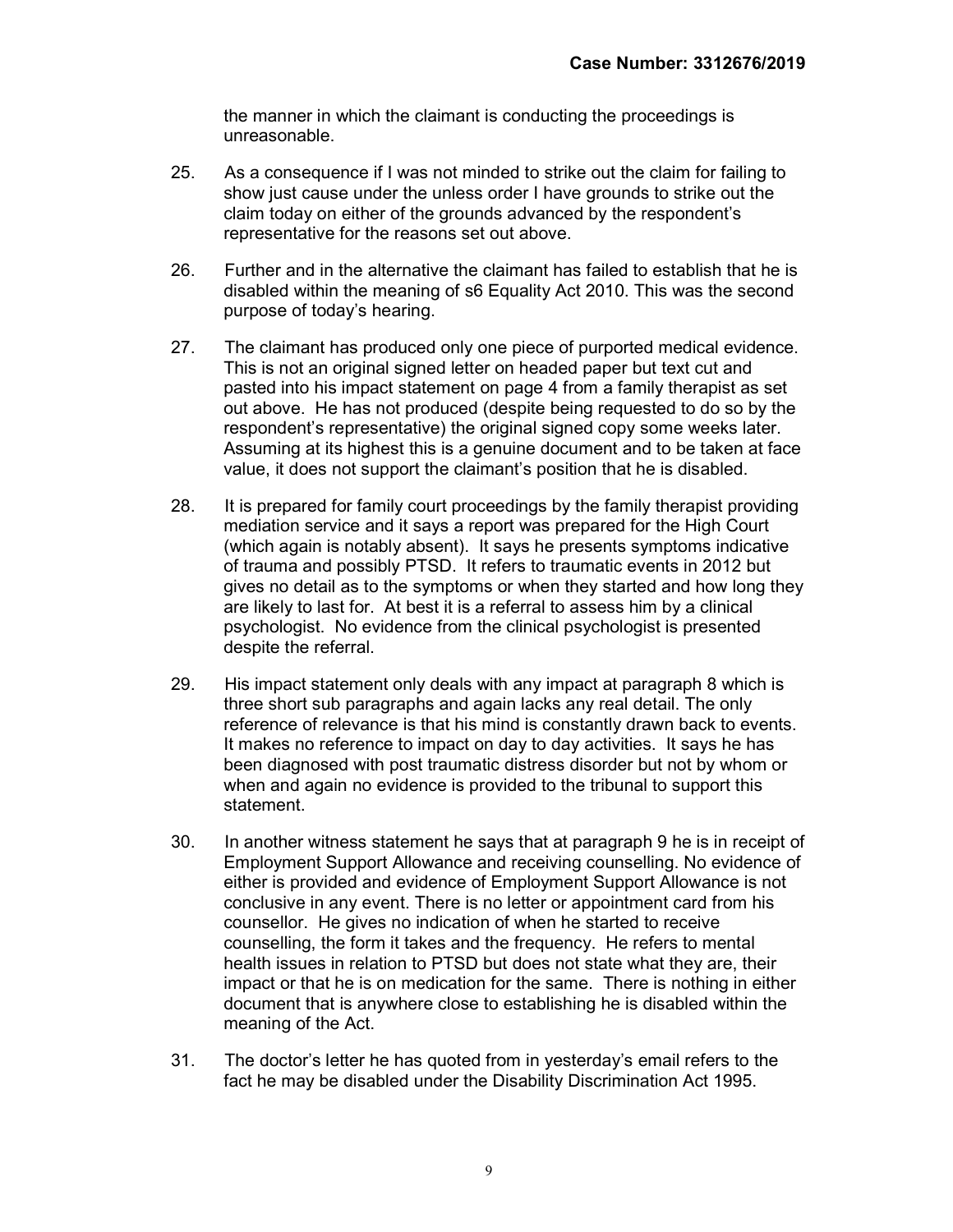the manner in which the claimant is conducting the proceedings is unreasonable.

- 25. As a consequence if I was not minded to strike out the claim for failing to show just cause under the unless order I have grounds to strike out the claim today on either of the grounds advanced by the respondent's representative for the reasons set out above.
- 26. Further and in the alternative the claimant has failed to establish that he is disabled within the meaning of s6 Equality Act 2010. This was the second purpose of today's hearing.
- 27. The claimant has produced only one piece of purported medical evidence. This is not an original signed letter on headed paper but text cut and pasted into his impact statement on page 4 from a family therapist as set out above. He has not produced (despite being requested to do so by the respondent's representative) the original signed copy some weeks later. Assuming at its highest this is a genuine document and to be taken at face value, it does not support the claimant's position that he is disabled.
- 28. It is prepared for family court proceedings by the family therapist providing mediation service and it says a report was prepared for the High Court (which again is notably absent). It says he presents symptoms indicative of trauma and possibly PTSD. It refers to traumatic events in 2012 but gives no detail as to the symptoms or when they started and how long they are likely to last for. At best it is a referral to assess him by a clinical psychologist. No evidence from the clinical psychologist is presented despite the referral.
- 29. His impact statement only deals with any impact at paragraph 8 which is three short sub paragraphs and again lacks any real detail. The only reference of relevance is that his mind is constantly drawn back to events. It makes no reference to impact on day to day activities. It says he has been diagnosed with post traumatic distress disorder but not by whom or when and again no evidence is provided to the tribunal to support this statement.
- 30. In another witness statement he says that at paragraph 9 he is in receipt of Employment Support Allowance and receiving counselling. No evidence of either is provided and evidence of Employment Support Allowance is not conclusive in any event. There is no letter or appointment card from his counsellor. He gives no indication of when he started to receive counselling, the form it takes and the frequency. He refers to mental health issues in relation to PTSD but does not state what they are, their impact or that he is on medication for the same. There is nothing in either document that is anywhere close to establishing he is disabled within the meaning of the Act.
- 31. The doctor's letter he has quoted from in yesterday's email refers to the fact he may be disabled under the Disability Discrimination Act 1995.